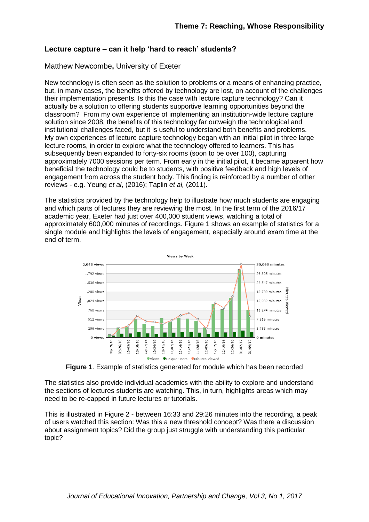## **Lecture capture – can it help 'hard to reach' students?**

## Matthew Newcombe**,** University of Exeter

New technology is often seen as the solution to problems or a means of enhancing practice, but, in many cases, the benefits offered by technology are lost, on account of the challenges their implementation presents. Is this the case with lecture capture technology? Can it actually be a solution to offering students supportive learning opportunities beyond the classroom? From my own experience of implementing an institution-wide lecture capture solution since 2008, the benefits of this technology far outweigh the technological and institutional challenges faced, but it is useful to understand both benefits and problems. My own experiences of lecture capture technology began with an initial pilot in three large lecture rooms, in order to explore what the technology offered to learners. This has subsequently been expanded to forty-six rooms (soon to be over 100), capturing approximately 7000 sessions per term. From early in the initial pilot, it became apparent how beneficial the technology could be to students, with positive feedback and high levels of engagement from across the student body. This finding is reinforced by a number of other reviews - e.g. Yeung *et al*, (2016); Taplin *et al,* (2011).

The statistics provided by the technology help to illustrate how much students are engaging and which parts of lectures they are reviewing the most. In the first term of the 2016/17 academic year, Exeter had just over 400,000 student views, watching a total of approximately 600,000 minutes of recordings. Figure 1 shows an example of statistics for a single module and highlights the levels of engagement, especially around exam time at the end of term.



**Figure 1**. Example of statistics generated for module which has been recorded

The statistics also provide individual academics with the ability to explore and understand the sections of lectures students are watching. This, in turn, highlights areas which may need to be re-capped in future lectures or tutorials.

This is illustrated in Figure 2 - between 16:33 and 29:26 minutes into the recording, a peak of users watched this section: Was this a new threshold concept? Was there a discussion about assignment topics? Did the group just struggle with understanding this particular topic?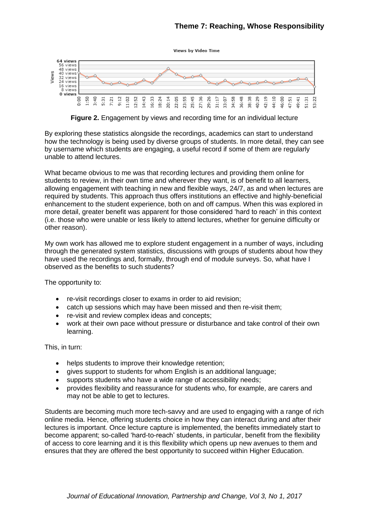



**Figure 2.** Engagement by views and recording time for an individual lecture

By exploring these statistics alongside the recordings, academics can start to understand how the technology is being used by diverse groups of students. In more detail, they can see by username which students are engaging, a useful record if some of them are regularly unable to attend lectures.

What became obvious to me was that recording lectures and providing them online for students to review, in their own time and wherever they want, is of benefit to all learners, allowing engagement with teaching in new and flexible ways, 24/7, as and when lectures are required by students. This approach thus offers institutions an effective and highly-beneficial enhancement to the student experience, both on and off campus. When this was explored in more detail, greater benefit was apparent for those considered 'hard to reach' in this context (i.e. those who were unable or less likely to attend lectures, whether for genuine difficulty or other reason).

My own work has allowed me to explore student engagement in a number of ways, including through the generated system statistics, discussions with groups of students about how they have used the recordings and, formally, through end of module surveys. So, what have I observed as the benefits to such students?

The opportunity to:

- re-visit recordings closer to exams in order to aid revision;
- catch up sessions which may have been missed and then re-visit them;
- re-visit and review complex ideas and concepts;
- work at their own pace without pressure or disturbance and take control of their own learning.

This, in turn:

- helps students to improve their knowledge retention;
- gives support to students for whom English is an additional language;
- supports students who have a wide range of accessibility needs;
- provides flexibility and reassurance for students who, for example, are carers and may not be able to get to lectures.

Students are becoming much more tech-savvy and are used to engaging with a range of rich online media. Hence, offering students choice in how they can interact during and after their lectures is important. Once lecture capture is implemented, the benefits immediately start to become apparent; so-called 'hard-to-reach' students, in particular, benefit from the flexibility of access to core learning and it is this flexibility which opens up new avenues to them and ensures that they are offered the best opportunity to succeed within Higher Education.